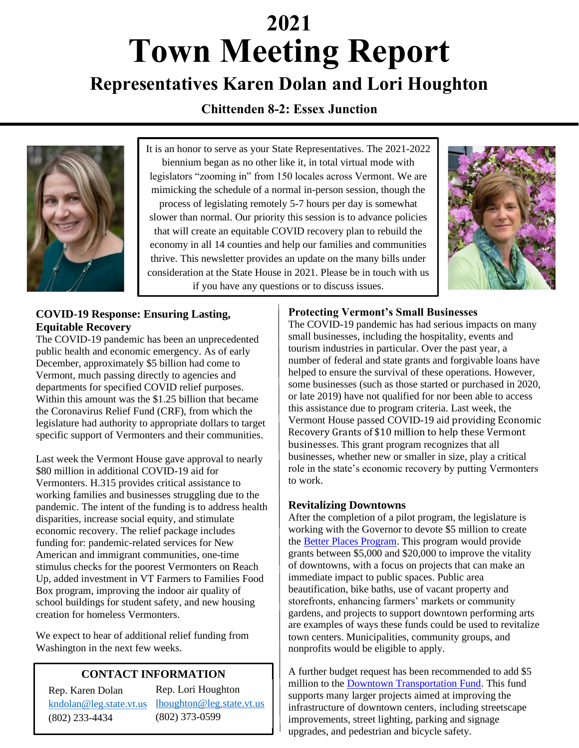# **Town Meeting Report 2021 Representatives Karen Dolan and Lori Houghton**

## **Chittenden 8-2: Essex Junction**



It is an honor to serve as your State Representatives. The 2021-2022 biennium began as no other like it, in total virtual mode with legislators "zooming in" from 150 locales across Vermont. We are mimicking the schedule of a normal in-person session, though the process of legislating remotely 5-7 hours per day is somewhat slower than normal. Our priority this session is to advance policies that will create an equitable COVID recovery plan to rebuild the economy in all 14 counties and help our families and communities thrive. This newsletter provides an update on the many bills under consideration at the State House in 2021. Please be in touch with us if you have any questions or to discuss issues.



#### **COVID-19 Response: Ensuring Lasting, Equitable Recovery**

The COVID-19 pandemic has been an unprecedented public health and economic emergency. As of early December, approximately \$5 billion had come to Vermont, much passing directly to agencies and departments for specified COVID relief purposes. Within this amount was the \$1.25 billion that became the Coronavirus Relief Fund (CRF), from which the legislature had authority to appropriate dollars to target specific support of Vermonters and their communities.

Last week the Vermont House gave approval to nearly \$80 million in additional COVID-19 aid for Vermonters. H.315 provides critical assistance to working families and businesses struggling due to the pandemic. The intent of the funding is to address health disparities, increase social equity, and stimulate economic recovery. The relief package includes funding for: pandemic-related services for New American and immigrant communities, one-time stimulus checks for the poorest Vermonters on Reach Up, added investment in VT Farmers to Families Food Box program, improving the indoor air quality of school buildings for student safety, and new housing creation for homeless Vermonters.

We expect to hear of additional relief funding from Washington in the next few weeks.

## **CONTACT INFORMATION**

Rep. Karen Dolan (802) 233-4434

kndolan@leg.state.vt.us [lhoughton@leg.state.vt.us](mailto:lhoughton@leg.state.vt.us) Rep. Lori Houghton (802) 373-0599

## **Protecting Vermont's Small Businesses**

The COVID-19 pandemic has had serious impacts on many small businesses, including the hospitality, events and tourism industries in particular. Over the past year, a number of federal and state grants and forgivable loans have helped to ensure the survival of these operations. However, some businesses (such as those started or purchased in 2020, or late 2019) have not qualified for nor been able to access this assistance due to program criteria. Last week, the Vermont House passed COVID-19 aid providing Economic Recovery Grants of \$10 million to help these Vermont businesses. This grant program recognizes that all businesses, whether new or smaller in size, play a critical role in the state's economic recovery by putting Vermonters to work.

#### **Revitalizing Downtowns**

After the completion of a pilot program, the legislature is working with the Governor to devote \$5 million to create the [Better Places Program.](https://accd.vermont.gov/community-development/funding-incentives/better-places) This program would provide grants between \$5,000 and \$20,000 to improve the vitality of downtowns, with a focus on projects that can make an immediate impact to public spaces. Public area beautification, bike baths, use of vacant property and storefronts, enhancing farmers' markets or community gardens, and projects to support downtown performing arts are examples of ways these funds could be used to revitalize town centers. Municipalities, community groups, and nonprofits would be eligible to apply.

A further budget request has been recommended to add \$5 million to the [Downtown Transportation Fund.](https://accd.vermont.gov/community-development/funding-incentives/downtown-transportation-fund) This fund supports many larger projects aimed at improving the infrastructure of downtown centers, including streetscape improvements, street lighting, parking and signage upgrades, and pedestrian and bicycle safety.